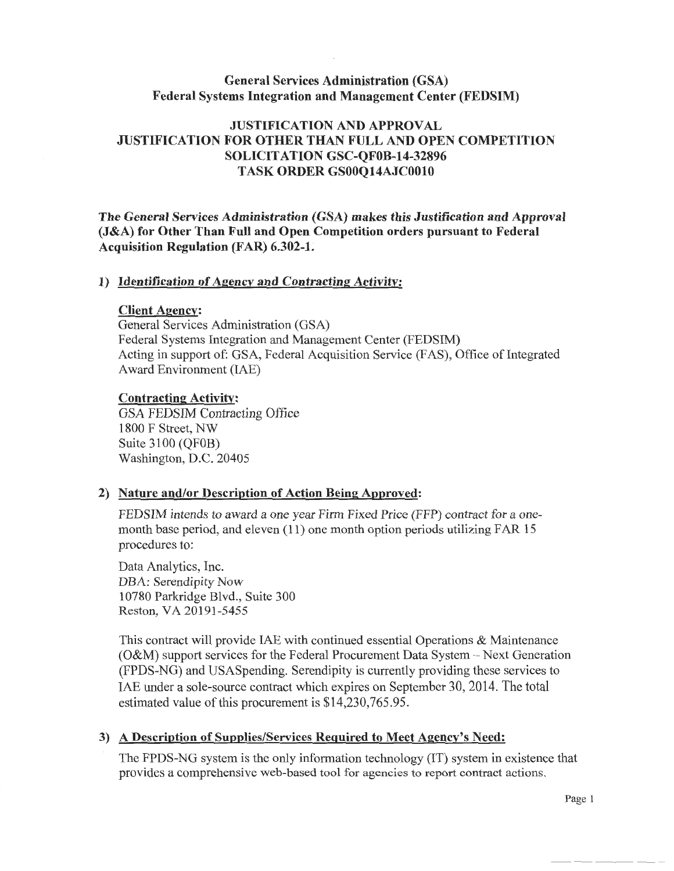### General Services Administration {GSA) Federal Systems Integration and Management Center (FEDSIM)

## JUSTIFICATION AND APPROVAL JUSTIFICATION FOR OTHER THAN FULL AND OPEN COMPETITION SOLICITATION GSC-QFOB-14-32896 TASK ORDER GSOOQ14AJC0010

The General Services Administration (GSA) makes this Justification and Approval (J&A) for Other Than Full and Open Competition orders pursuant to Federal Acquisition Regulation (FAR) 6.302-1.

#### 1) Identification of Agency and Contracting Activity:

#### Client Agency:

General Services Administration (GSA) Federal Systems Integration and Management Center (FEDSIM) Acting in support of: GSA, Federal Acquisition Service (FAS), Office of Integrated Award Environment (IAE)

#### Contracting Activity:

GSA FEDSIM Contracting Office 1800 F Street, NW Suite 3100 (QFOB) Washington, D.C. 20405

#### 2) Nature and/or Description of Action Being Approved:

FEDSIM intends to award a one year Firm Fixed Price (FFP) contract for a onemonth base period, and eleven (11) one month option periods utilizing FAR 15 procedures to:

Data Analytics, Inc. DBA: Serendipity Now 10780 Parkridge Blvd., Suite 300 Reston, VA 20191-5455

This contract will provide IAE with continued essential Operations & Maintenance (O&M) support services for the Federal Procurement Data System-Next Generation (FPDS-NG) and USASpending. Serendipity is currently providing these services to IAE under a sole-source contract which expires on September 30, 2014. The total estimated value of this procurement is \$14,230,765.95.

### 3) A Description of Supplies/Services Required to Meet Agency's Need:

The FPDS-NG system is the only information technology (IT) system in existence that provides a comprehensive web-based tool for agencies to report contract actions.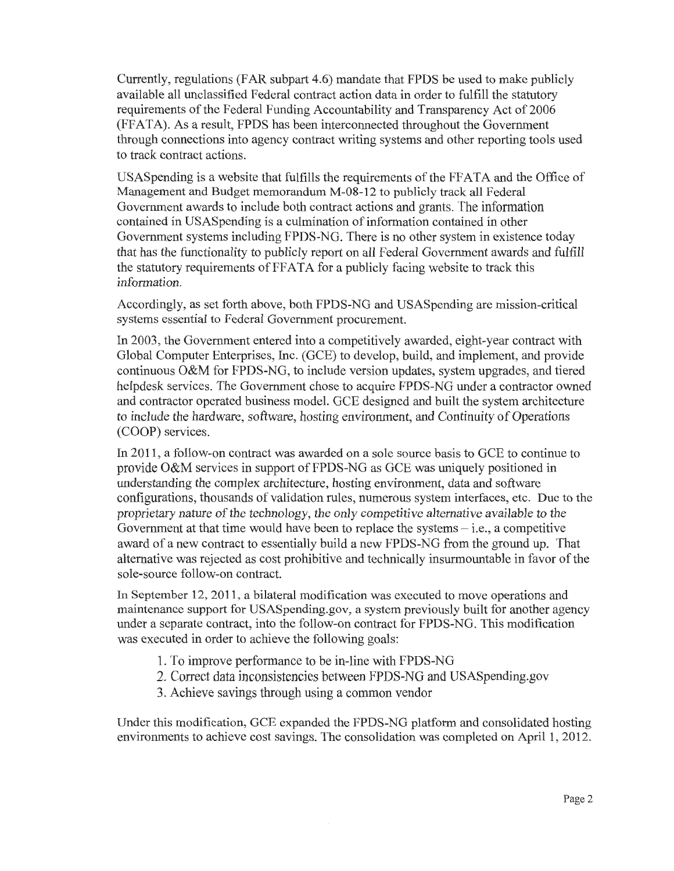Currently, regulations (FAR subpart 4.6) mandate that FPDS be used to make publicly available all unclassified Federal contract action data in order to fulfill the statutory requirements of the Federal Funding Accountability and Transparency Act of 2006 (FFATA). As a result, FPDS has been interconnected throughout the Government through connections into agency contract writing systems and other reporting tools used to track contract actions.

USAS pending is a website that fulfills the requirements of the FFATA and the Office of Management and Budget memorandum M-08-12 to publicly track all Federal Government awards to include both contract actions and grants. The information contained in USASpending is a culmination of information contained in other Government systems including FPDS-NG. There is no other system in existence today that has the functionality to publicly report on all Federal Government awards and fulfill the statutory requirements of FFATA for a publicly facing website to track this information.

Accordingly, as set forth above, both FPDS-NG and USASpending are mission-critical systems essential to Federal Government procurement.

In 2003, the Government entered into a competitively awarded, eight-year contract with Global Computer Enterprises, Inc. (GCE) to develop, build, and implement, and provide continuous O&M for FPDS-NG, to include version updates, system upgrades, and tiered helpdesk services. The Government chose to acquire FPDS-NG under a contractor owned and contractor operated business model. GCE designed and built the system architecture to include the hardware, software, hosting environment, and Continuity of Operations (COOP) services.

In 2011, a follow-on contract was awarded on a sole source basis to GCE to continue to provide O&M services in support of FPDS-NG as GCE was uniquely positioned in understanding the complex architecture, hosting environment, data and software configurations, thousands of validation rules, numerous system interfaces, etc. Due to the proprietary nature of the technology, the only competitive alternative available to the Government at that time would have been to replace the systems  $-$  i.e., a competitive award of a new contract to essentially build a new FPDS-NG from the ground up. That alternative was rejected as cost prohibitive and technically insurmountable in favor of the sole-source follow-on contract.

In September 12, 2011, a bilateral modification was executed to move operations and maintenance support for USASpending.gov, a system previously built for another agency under a separate contract, into the follow-on contract for FPDS-NG. This modification was executed in order to achieve the following goals:

- 1. To improve performance to be in-line with FPDS-NG
- 2. Correct data inconsistencies between FPDS-NG and USASpending.gov
- 3. Achieve savings through using a common vendor

Under this modification, GCE expanded the FPDS-NG platform and consolidated hosting environments to achieve cost savings. The consolidation was completed on April 1, 2012.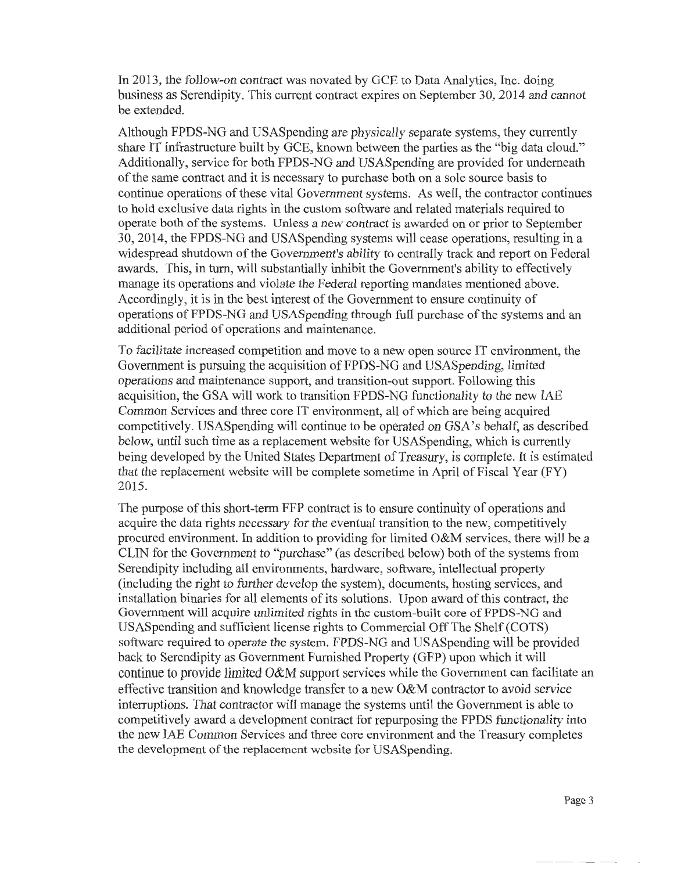In 2013, the follow-on contract was novated by GCE to Data Analytics, Inc. doing business as Serendipity. This current contract expires on September 30, 2014 and cannot be extended.

Although FPDS-NG and USASpending are physically separate systems, they currently share IT infrastructure built by GCE, known between the parties as the "big data cloud." Additionally, service for both FPDS-NG and USASpending are provided for underneath of the same contract and it is necessary to purchase both on a sole source basis to continue operations of these vital Government systems. As well, the contractor continues to hold exclusive data rights in the custom software and related materials required to operate both of the systems. Unless a new contract is awarded on or prior to September 30, 2014, the FPDS-NG and USASpending systems will cease operations, resulting in a widespread shutdown of the Government's ability to centrally track and report on Federal awards. This, in tum, will substantially inhibit the Government's ability to effectively manage its operations and violate the Federal reporting mandates mentioned above. Accordingly, it is in the best interest of the Government to ensure continuity of operations of FPDS-NG and USASpending through full purchase of the systems and an additional period of operations and maintenance.

To facilitate increased competition and move to a new open source IT environment, the Government is pursuing the acquisition of FPDS-NG and USASpending, limited operations and maintenance support, and transition-out support. Following this acquisition, the GSA will work to transition FPDS-NG functionality to the new IAE Common Services and three core IT environment, all of which are being acquired competitively. USASpending will continue to be operated on GSA's behalf, as described below, until such time as a replacement website for USASpending, which is currently being developed by the United States Department of Treasury, is complete. It is estimated that the replacement website will be complete sometime in April of Fiscal Year (FY) 2015.

The purpose of this short-term FFP contract is to ensure continuity of operations and acquire the data rights necessary for the eventual transition to the new, competitively procured environment. In addition to providing for limited O&M services, there will be a CLIN for the Government to "purchase" (as described below) both of the systems from Serendipity including all environments, hardware, software, intellectual property (including the right to further develop the system), documents, hosting services, and installation binaries for all elements of its solutions. Upon award of this contract, the Government will acquire unlimited rights in the custom-built core of FPDS-NG and USASpending and sufficient license rights to Commercial Off The Shelf (COTS) software required to operate the system. FPDS-NG and USASpending will be provided back to Serendipity as Government Furnished Property (GFP) upon which it will continue to provide limited O&M support services while the Government can facilitate an effective transition and knowledge transfer to a new O&M contractor to avoid service interruptions. That contractor will manage the systems until the Government is able to competitively award a development contract for repurposing the FPDS functionality into the new IAE Common Services and three core environment and the Treasury completes the development of the replacement website for USASpending.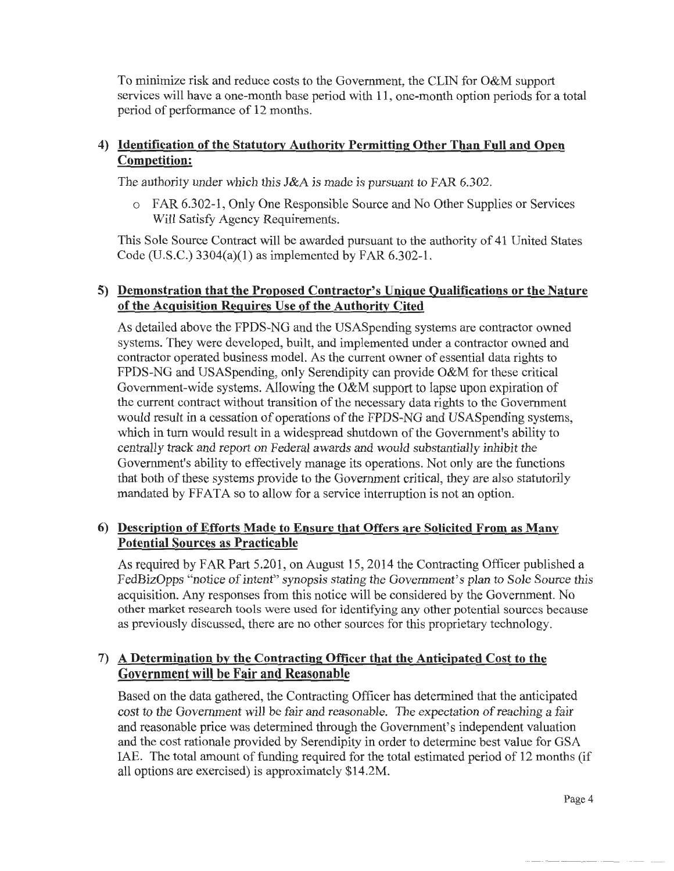To minimize risk and reduce costs to the Government, the CLIN for O&M support services will have a one-month base period with 11, one-month option periods for a total period of performance of 12 months.

# 4) Identification of the Statutory Authority Permitting Other Than Full and Open Competition:

The authority under which this J&A is made is pursuant to FAR 6.302.

o FAR 6.302-1, Only One Responsible Source and No Other Supplies or Services Will Satisfy Agency Requirements.

This Sole Source Contract will be awarded pursuant to the authority of 41 United States Code (U.S.C.) 3304(a)(l) as implemented by FAR 6.302-1.

# 5) Demonstration that the Proposed Contractor's Unique Qualifications or the Nature of the Acquisition Requires Use of the Authority Cited

As detailed above the FPDS-NG and the USASpending systems are contractor owned systems. They were developed, built, and implemented under a contractor owned and contractor operated business model. As the current owner of essential data rights to FPDS-NG and USASpending, only Serendipity can provide O&M for these critical Government-wide systems. Allowing the O&M support to lapse upon expiration of the current contract without transition of the necessary data rights to the Government would result in a cessation of operations of the FPDS-NG and USASpending systems, which in turn would result in a widespread shutdown of the Government's ability to centrally track and report on Federal awards and would substantially inhibit the Government's ability to effectively manage its operations. Not only are the functions that both of these systems provide to the Government critical, they are also statutorily mandated by FFATA so to allow for a service interruption is not an option.

# 6) Description of Efforts Made to Ensure that Offers are Solicited From as Many Potential Sources as Practicable

As required by FAR Part 5.201, on August 15, 2014 the Contracting Officer published a FedBizOpps "notice of intent" synopsis stating the Government's plan to Sole Source this acquisition. Any responses from this notice will be considered by the Government. No other market research tools were used for identifying any other potential sources because as previously discussed, there are no other sources for this proprietary technology.

# 7) A Determination by the Contracting Officer that the Anticipated Cost to the Government will be Fair and Reasonable

Based on the data gathered, the Contracting Officer has determined that the anticipated cost to the Government will be fair and reasonable. The expectation of reaching a fair and reasonable price was determined through the Government's independent valuation and the cost rationale provided by Serendipity in order to determine best value for GSA IAE. The total amount of funding required for the total estimated period of 12 months (if all options are exercised) is approximately \$14.2M.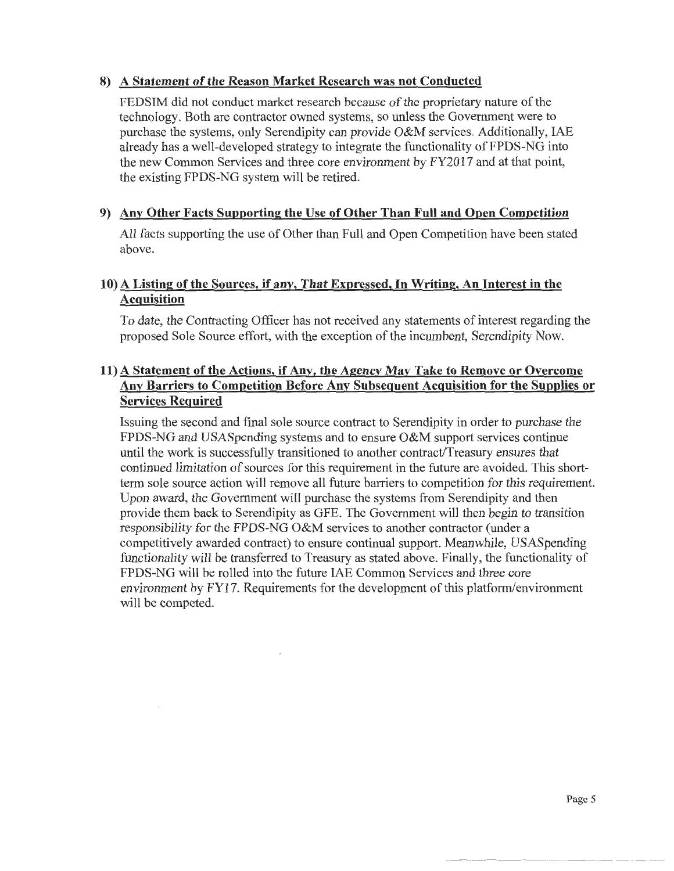### 8) A Statement of the Reason Market Research was not Conducted

FEDS IM did not conduct market research because of the proprietary nature of the technology. Both are contractor owned systems, so unless the Government were to purchase the systems, only Serendipity can provide O&M services. Additionally, IAE already has a well-developed strategy to integrate the functionality of FPDS-NG into the new Common Services and three core environment by FY2017 and at that point, the existing FPDS-NG system will be retired.

## 9) Any Other Facts Supporting the Use of Other Than Full and Open Competition

All facts supporting the use of Other than Full and Open Competition have been stated above.

## 10) A Listing of the Sources, if any, That Expressed, In Writing, An Interest in the Acquisition

To date, the Contracting Officer has not received any statements of interest regarding the proposed Sole Source effort, with the exception of the incumbent, Serendipity Now.

# 11) A Statement of the Actions, if Any, the Agency May Take to Remove or Overcome Any Barriers to Competition Before Any Subsequent Acquisition for the Supplies or Services Required

Issuing the second and final sole source contract to Serendipity in order to purchase the FPDS-NG and USASpending systems and to ensure O&M support services continue until the work is successfully transitioned to another contract/Treasury ensures that continued limitation of sources for this requirement in the future are avoided. This shortterm sole source action will remove all future barriers to competition for this requirement. Upon award, the Government will purchase the systems from Serendipity and then provide them back to Serendipity as GFE. The Government will then begin to transition responsibility for the FPDS-NG O&M services to another contractor (under a competitively awarded contract) to ensure continual support. Meanwhile, USASpending functionality will be transferred to Treasury as stated above. Finally, the functionality of FPDS-NG will be rolled into the future IAE Common Services and three core environment by FY17. Requirements for the development of this platform/environment will be competed.